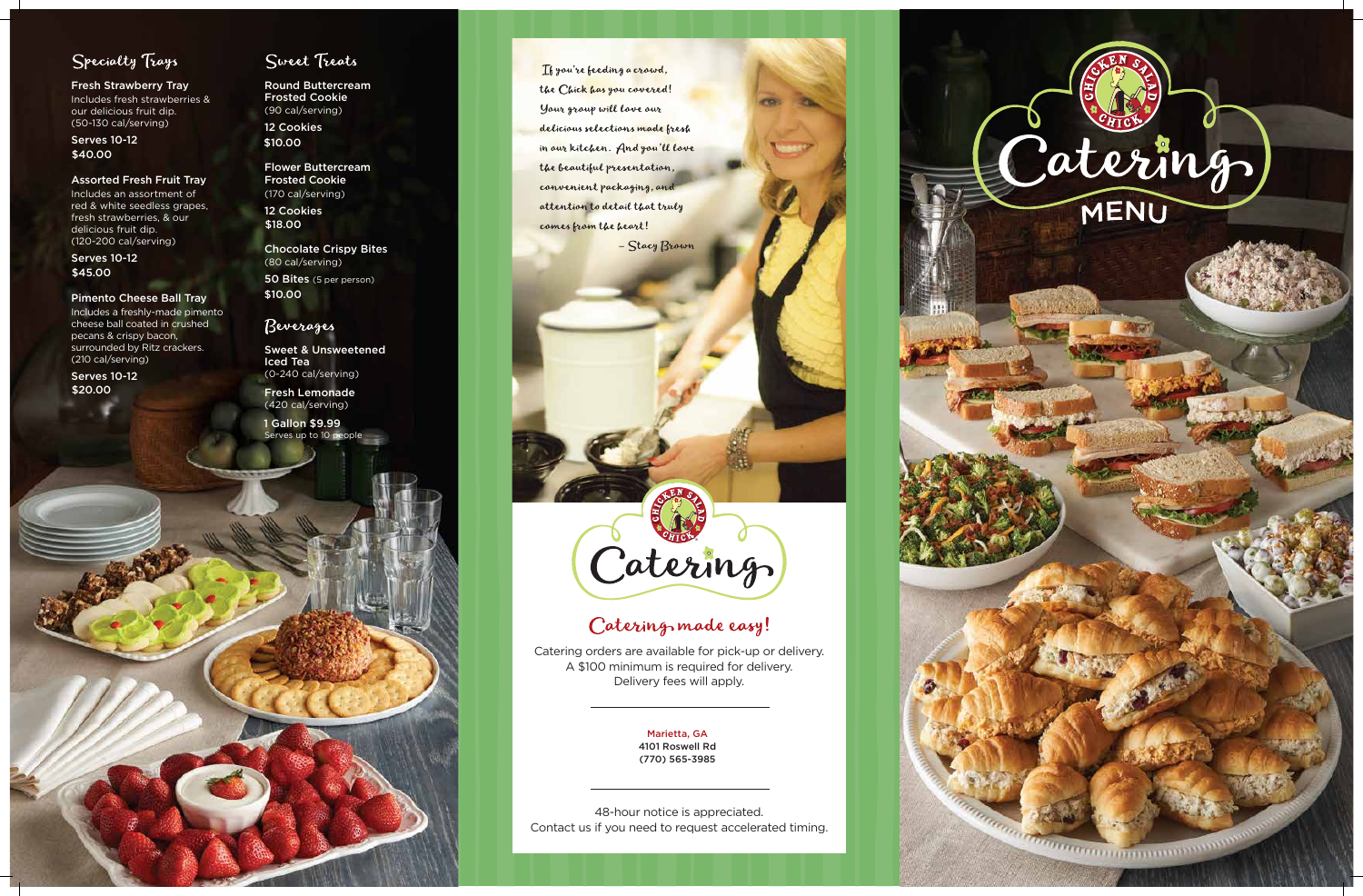

**Thumann mmmmmmm** 

# Specialty Trays

Fresh Strawberry Tray Includes fresh strawberries & our delicious fruit dip. (50-130 cal/serving)

### Assorted Fresh Fruit Tray

Includes an assortment of red & white seedless grapes, fresh strawberries, & our delicious fruit dip. (120-200 cal/serving)

### Pimento Cheese Ball Tray

Includes a freshly-made pimento cheese ball coated in crushed pecans & crispy bacon, surrounded by Ritz crackers. (210 cal/serving)

Flower Buttercream Frosted Cookie (170 cal/serving)

Serves 10-12 \$40.00

> Chocolate Crispy Bites (80 cal/serving) 50 Bites (5 per person)

Serves 10-12 \$45.00

> Sweet & Unsweetened Iced Tea (0-240 cal/serving)

Fresh Lemonade (420 cal/serving)

Round Buttercream Frosted Cookie (90 cal/serving) 12 Cookies \$10.00

Serves 10-12 \$20.00

## Sweet Treats

12 Cookies \$18.00

> Catering orders are available for pick-up or delivery. A \$100 minimum is required for delivery. Delivery fees will apply.

Serves up to 10 people 1 Gallon \$9.99

Thyou're feeding a crowd, the Chick has you covered! Your group will love our delicious selections made fresh in our kitchen. And you'll love the beautiful presentation, convenient packaging, and attention to detail that truly comes from the heart!

- Stacy Brown

# Caterings

# Catering made easy!

48-hour notice is appreciated. Contact us if you need to request accelerated timing.



\$10.00

## Beverages

Marietta, GA 4101 Roswell Rd (770) 565-3985